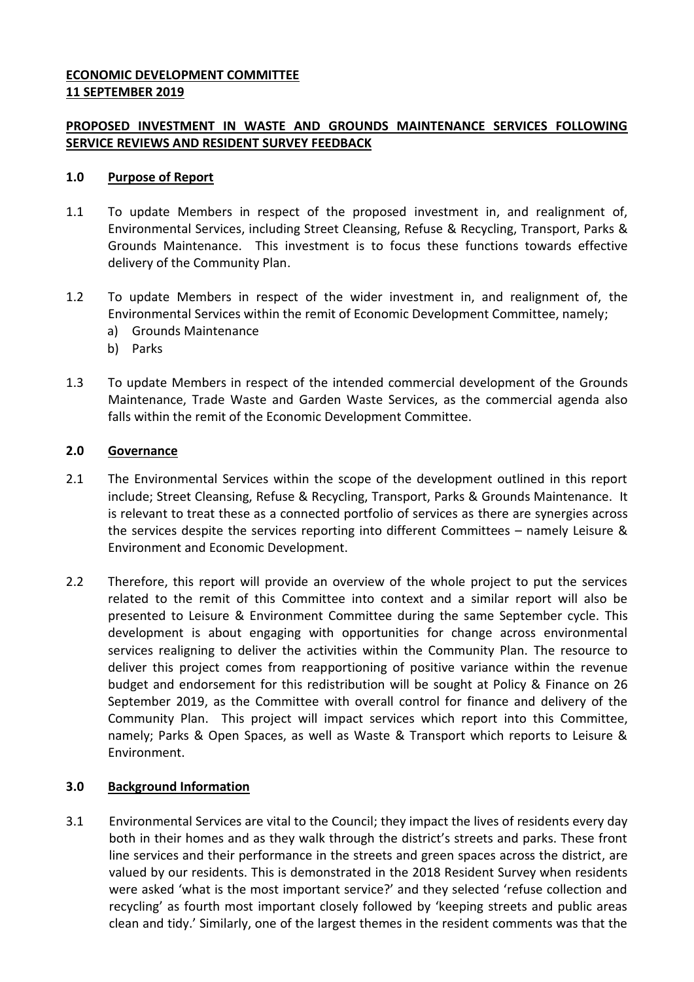# **ECONOMIC DEVELOPMENT COMMITTEE 11 SEPTEMBER 2019**

# **PROPOSED INVESTMENT IN WASTE AND GROUNDS MAINTENANCE SERVICES FOLLOWING SERVICE REVIEWS AND RESIDENT SURVEY FEEDBACK**

#### **1.0 Purpose of Report**

- 1.1 To update Members in respect of the proposed investment in, and realignment of, Environmental Services, including Street Cleansing, Refuse & Recycling, Transport, Parks & Grounds Maintenance. This investment is to focus these functions towards effective delivery of the Community Plan.
- 1.2 To update Members in respect of the wider investment in, and realignment of, the Environmental Services within the remit of Economic Development Committee, namely;
	- a) Grounds Maintenance
	- b) Parks
- 1.3 To update Members in respect of the intended commercial development of the Grounds Maintenance, Trade Waste and Garden Waste Services, as the commercial agenda also falls within the remit of the Economic Development Committee.

#### **2.0 Governance**

- 2.1 The Environmental Services within the scope of the development outlined in this report include; Street Cleansing, Refuse & Recycling, Transport, Parks & Grounds Maintenance. It is relevant to treat these as a connected portfolio of services as there are synergies across the services despite the services reporting into different Committees – namely Leisure & Environment and Economic Development.
- 2.2 Therefore, this report will provide an overview of the whole project to put the services related to the remit of this Committee into context and a similar report will also be presented to Leisure & Environment Committee during the same September cycle. This development is about engaging with opportunities for change across environmental services realigning to deliver the activities within the Community Plan. The resource to deliver this project comes from reapportioning of positive variance within the revenue budget and endorsement for this redistribution will be sought at Policy & Finance on 26 September 2019, as the Committee with overall control for finance and delivery of the Community Plan. This project will impact services which report into this Committee, namely; Parks & Open Spaces, as well as Waste & Transport which reports to Leisure & Environment.

#### **3.0 Background Information**

3.1 Environmental Services are vital to the Council; they impact the lives of residents every day both in their homes and as they walk through the district's streets and parks. These front line services and their performance in the streets and green spaces across the district, are valued by our residents. This is demonstrated in the 2018 Resident Survey when residents were asked 'what is the most important service?' and they selected 'refuse collection and recycling' as fourth most important closely followed by 'keeping streets and public areas clean and tidy.' Similarly, one of the largest themes in the resident comments was that the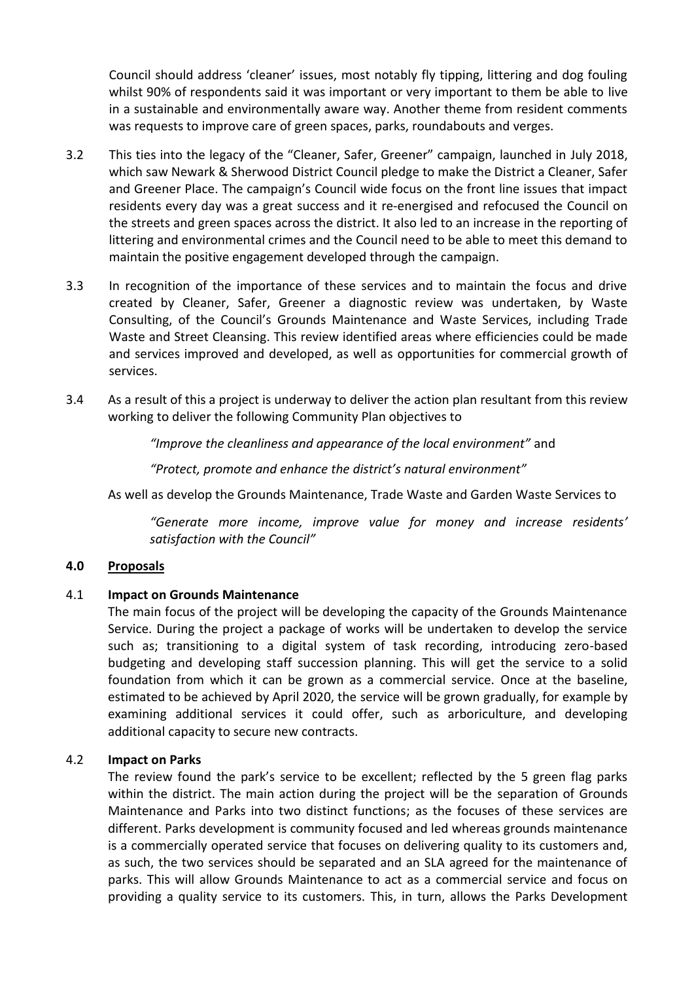Council should address 'cleaner' issues, most notably fly tipping, littering and dog fouling whilst 90% of respondents said it was important or very important to them be able to live in a sustainable and environmentally aware way. Another theme from resident comments was requests to improve care of green spaces, parks, roundabouts and verges.

- 3.2 This ties into the legacy of the "Cleaner, Safer, Greener" campaign, launched in July 2018, which saw Newark & Sherwood District Council pledge to make the District a Cleaner, Safer and Greener Place. The campaign's Council wide focus on the front line issues that impact residents every day was a great success and it re-energised and refocused the Council on the streets and green spaces across the district. It also led to an increase in the reporting of littering and environmental crimes and the Council need to be able to meet this demand to maintain the positive engagement developed through the campaign.
- 3.3 In recognition of the importance of these services and to maintain the focus and drive created by Cleaner, Safer, Greener a diagnostic review was undertaken, by Waste Consulting, of the Council's Grounds Maintenance and Waste Services, including Trade Waste and Street Cleansing. This review identified areas where efficiencies could be made and services improved and developed, as well as opportunities for commercial growth of services.
- 3.4 As a result of this a project is underway to deliver the action plan resultant from this review working to deliver the following Community Plan objectives to

*"Improve the cleanliness and appearance of the local environment"* and

*"Protect, promote and enhance the district's natural environment"*

As well as develop the Grounds Maintenance, Trade Waste and Garden Waste Services to

*"Generate more income, improve value for money and increase residents' satisfaction with the Council"*

#### **4.0 Proposals**

#### 4.1 **Impact on Grounds Maintenance**

The main focus of the project will be developing the capacity of the Grounds Maintenance Service. During the project a package of works will be undertaken to develop the service such as; transitioning to a digital system of task recording, introducing zero-based budgeting and developing staff succession planning. This will get the service to a solid foundation from which it can be grown as a commercial service. Once at the baseline, estimated to be achieved by April 2020, the service will be grown gradually, for example by examining additional services it could offer, such as arboriculture, and developing additional capacity to secure new contracts.

#### 4.2 **Impact on Parks**

The review found the park's service to be excellent; reflected by the 5 green flag parks within the district. The main action during the project will be the separation of Grounds Maintenance and Parks into two distinct functions; as the focuses of these services are different. Parks development is community focused and led whereas grounds maintenance is a commercially operated service that focuses on delivering quality to its customers and, as such, the two services should be separated and an SLA agreed for the maintenance of parks. This will allow Grounds Maintenance to act as a commercial service and focus on providing a quality service to its customers. This, in turn, allows the Parks Development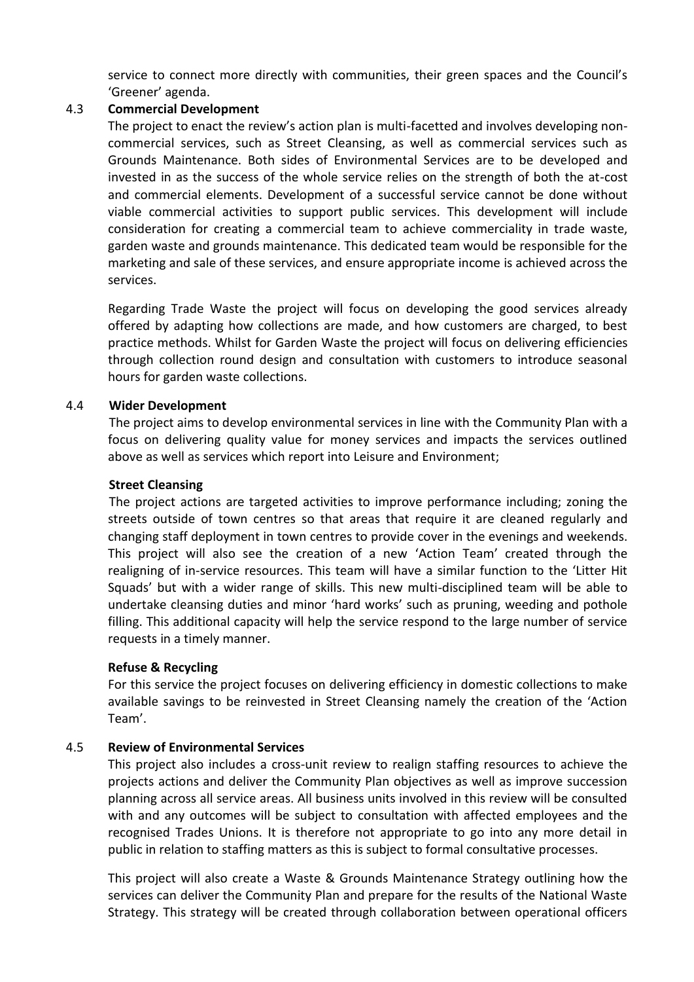service to connect more directly with communities, their green spaces and the Council's 'Greener' agenda.

#### 4.3 **Commercial Development**

The project to enact the review's action plan is multi-facetted and involves developing noncommercial services, such as Street Cleansing, as well as commercial services such as Grounds Maintenance. Both sides of Environmental Services are to be developed and invested in as the success of the whole service relies on the strength of both the at-cost and commercial elements. Development of a successful service cannot be done without viable commercial activities to support public services. This development will include consideration for creating a commercial team to achieve commerciality in trade waste, garden waste and grounds maintenance. This dedicated team would be responsible for the marketing and sale of these services, and ensure appropriate income is achieved across the services.

Regarding Trade Waste the project will focus on developing the good services already offered by adapting how collections are made, and how customers are charged, to best practice methods. Whilst for Garden Waste the project will focus on delivering efficiencies through collection round design and consultation with customers to introduce seasonal hours for garden waste collections.

# 4.4 **Wider Development**

The project aims to develop environmental services in line with the Community Plan with a focus on delivering quality value for money services and impacts the services outlined above as well as services which report into Leisure and Environment;

#### **Street Cleansing**

The project actions are targeted activities to improve performance including; zoning the streets outside of town centres so that areas that require it are cleaned regularly and changing staff deployment in town centres to provide cover in the evenings and weekends. This project will also see the creation of a new 'Action Team' created through the realigning of in-service resources. This team will have a similar function to the 'Litter Hit Squads' but with a wider range of skills. This new multi-disciplined team will be able to undertake cleansing duties and minor 'hard works' such as pruning, weeding and pothole filling. This additional capacity will help the service respond to the large number of service requests in a timely manner.

#### **Refuse & Recycling**

For this service the project focuses on delivering efficiency in domestic collections to make available savings to be reinvested in Street Cleansing namely the creation of the 'Action Team'.

# 4.5 **Review of Environmental Services**

This project also includes a cross-unit review to realign staffing resources to achieve the projects actions and deliver the Community Plan objectives as well as improve succession planning across all service areas. All business units involved in this review will be consulted with and any outcomes will be subject to consultation with affected employees and the recognised Trades Unions. It is therefore not appropriate to go into any more detail in public in relation to staffing matters as this is subject to formal consultative processes.

This project will also create a Waste & Grounds Maintenance Strategy outlining how the services can deliver the Community Plan and prepare for the results of the National Waste Strategy. This strategy will be created through collaboration between operational officers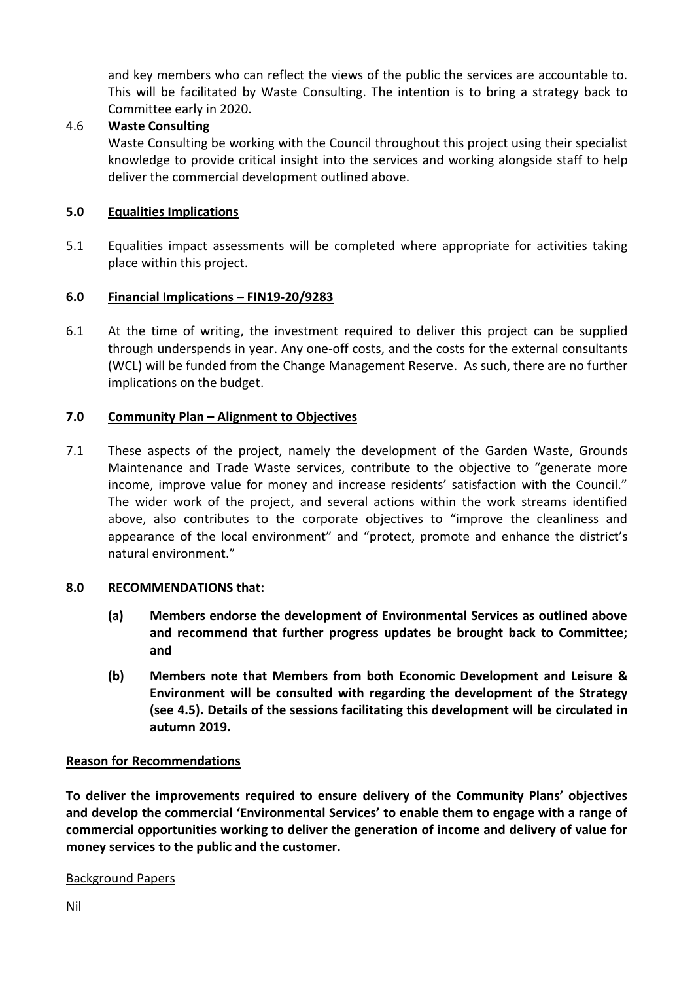and key members who can reflect the views of the public the services are accountable to. This will be facilitated by Waste Consulting. The intention is to bring a strategy back to Committee early in 2020.

# 4.6 **Waste Consulting**

Waste Consulting be working with the Council throughout this project using their specialist knowledge to provide critical insight into the services and working alongside staff to help deliver the commercial development outlined above.

# **5.0 Equalities Implications**

5.1 Equalities impact assessments will be completed where appropriate for activities taking place within this project.

# **6.0 Financial Implications – FIN19-20/9283**

6.1 At the time of writing, the investment required to deliver this project can be supplied through underspends in year. Any one-off costs, and the costs for the external consultants (WCL) will be funded from the Change Management Reserve. As such, there are no further implications on the budget.

# **7.0 Community Plan – Alignment to Objectives**

7.1 These aspects of the project, namely the development of the Garden Waste, Grounds Maintenance and Trade Waste services, contribute to the objective to "generate more income, improve value for money and increase residents' satisfaction with the Council." The wider work of the project, and several actions within the work streams identified above, also contributes to the corporate objectives to "improve the cleanliness and appearance of the local environment" and "protect, promote and enhance the district's natural environment."

#### **8.0 RECOMMENDATIONS that:**

- **(a) Members endorse the development of Environmental Services as outlined above and recommend that further progress updates be brought back to Committee; and**
- **(b) Members note that Members from both Economic Development and Leisure & Environment will be consulted with regarding the development of the Strategy (see 4.5). Details of the sessions facilitating this development will be circulated in autumn 2019.**

#### **Reason for Recommendations**

**To deliver the improvements required to ensure delivery of the Community Plans' objectives and develop the commercial 'Environmental Services' to enable them to engage with a range of commercial opportunities working to deliver the generation of income and delivery of value for money services to the public and the customer.** 

#### Background Papers